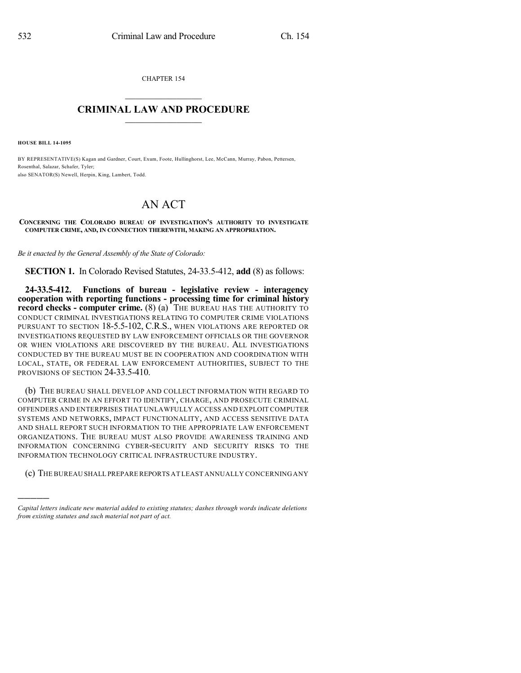CHAPTER 154

## $\mathcal{L}_\text{max}$  . The set of the set of the set of the set of the set of the set of the set of the set of the set of the set of the set of the set of the set of the set of the set of the set of the set of the set of the set **CRIMINAL LAW AND PROCEDURE**  $\frac{1}{2}$  ,  $\frac{1}{2}$  ,  $\frac{1}{2}$  ,  $\frac{1}{2}$  ,  $\frac{1}{2}$  ,  $\frac{1}{2}$  ,  $\frac{1}{2}$

**HOUSE BILL 14-1095**

)))))

BY REPRESENTATIVE(S) Kagan and Gardner, Court, Exum, Foote, Hullinghorst, Lee, McCann, Murray, Pabon, Pettersen, Rosenthal, Salazar, Schafer, Tyler; also SENATOR(S) Newell, Herpin, King, Lambert, Todd.

## AN ACT

## **CONCERNING THE COLORADO BUREAU OF INVESTIGATION'S AUTHORITY TO INVESTIGATE COMPUTER CRIME, AND, IN CONNECTION THEREWITH, MAKING AN APPROPRIATION.**

*Be it enacted by the General Assembly of the State of Colorado:*

**SECTION 1.** In Colorado Revised Statutes, 24-33.5-412, **add** (8) as follows:

**24-33.5-412. Functions of bureau - legislative review - interagency cooperation with reporting functions - processing time for criminal history record checks - computer crime.** (8) (a) THE BUREAU HAS THE AUTHORITY TO CONDUCT CRIMINAL INVESTIGATIONS RELATING TO COMPUTER CRIME VIOLATIONS PURSUANT TO SECTION 18-5.5-102, C.R.S., WHEN VIOLATIONS ARE REPORTED OR INVESTIGATIONS REQUESTED BY LAW ENFORCEMENT OFFICIALS OR THE GOVERNOR OR WHEN VIOLATIONS ARE DISCOVERED BY THE BUREAU. ALL INVESTIGATIONS CONDUCTED BY THE BUREAU MUST BE IN COOPERATION AND COORDINATION WITH LOCAL, STATE, OR FEDERAL LAW ENFORCEMENT AUTHORITIES, SUBJECT TO THE PROVISIONS OF SECTION 24-33.5-410.

(b) THE BUREAU SHALL DEVELOP AND COLLECT INFORMATION WITH REGARD TO COMPUTER CRIME IN AN EFFORT TO IDENTIFY, CHARGE, AND PROSECUTE CRIMINAL OFFENDERS AND ENTERPRISES THAT UNLAWFULLY ACCESS AND EXPLOIT COMPUTER SYSTEMS AND NETWORKS, IMPACT FUNCTIONALITY, AND ACCESS SENSITIVE DATA AND SHALL REPORT SUCH INFORMATION TO THE APPROPRIATE LAW ENFORCEMENT ORGANIZATIONS. THE BUREAU MUST ALSO PROVIDE AWARENESS TRAINING AND INFORMATION CONCERNING CYBER-SECURITY AND SECURITY RISKS TO THE INFORMATION TECHNOLOGY CRITICAL INFRASTRUCTURE INDUSTRY.

(c) THE BUREAU SHALL PREPAREREPORTS AT LEAST ANNUALLY CONCERNING ANY

*Capital letters indicate new material added to existing statutes; dashes through words indicate deletions from existing statutes and such material not part of act.*